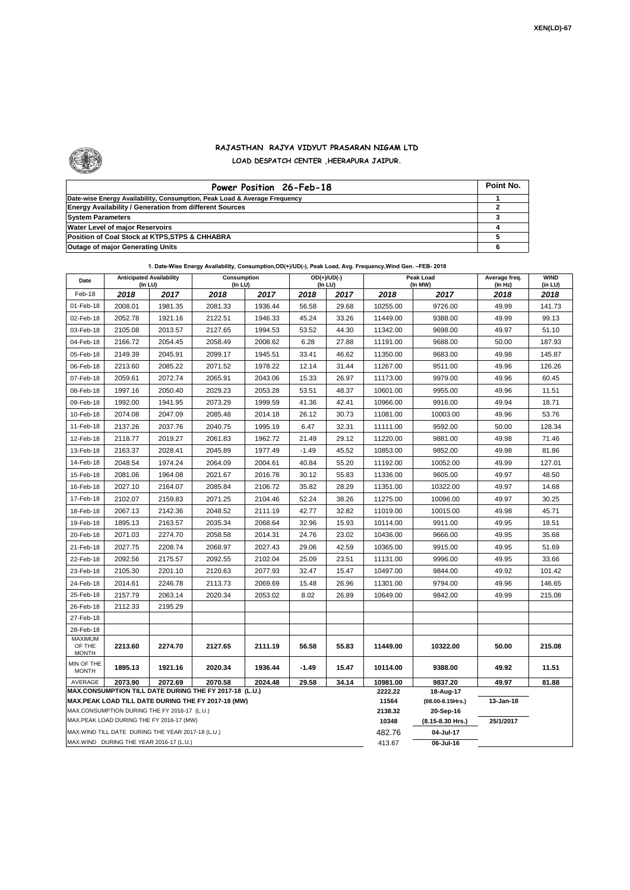

## **RAJASTHAN RAJYA VIDYUT PRASARAN NIGAM LTD LOAD DESPATCH CENTER ,HEERAPURA JAIPUR.**

| Power Position 26-Feb-18                                                  | Point No. |
|---------------------------------------------------------------------------|-----------|
| Date-wise Energy Availability, Consumption, Peak Load & Average Frequency |           |
| <b>Energy Availability / Generation from different Sources</b>            |           |
| <b>System Parameters</b>                                                  |           |
| Water Level of major Reservoirs                                           |           |
| Position of Coal Stock at KTPS, STPS & CHHABRA                            |           |
| <b>Outage of major Generating Units</b>                                   |           |

| Date                                                                                               | <b>Anticipated Availability</b><br>(In LU) |         | Consumption<br>(In LU) |         | $OD(+)/UD(-)$<br>(In LU) |       |          | Peak Load<br>(In MW)          | Average freq.<br>(In Hz) | <b>WIND</b><br>(in LU) |  |  |  |
|----------------------------------------------------------------------------------------------------|--------------------------------------------|---------|------------------------|---------|--------------------------|-------|----------|-------------------------------|--------------------------|------------------------|--|--|--|
| Feb-18                                                                                             | 2018                                       | 2017    | 2018                   | 2017    | 2018                     | 2017  | 2018     | 2017                          | 2018                     | 2018                   |  |  |  |
| 01-Feb-18                                                                                          | 2008.01                                    | 1981.35 | 2081.33                | 1936.44 | 56.58                    | 29.68 | 10255.00 | 9726.00                       | 49.99                    | 141.73                 |  |  |  |
| 02-Feb-18                                                                                          | 2052.78                                    | 1921.16 | 2122.51                | 1946.33 | 45.24                    | 33.26 | 11449.00 | 9388.00                       | 49.99                    | 99.13                  |  |  |  |
| 03-Feb-18                                                                                          | 2105.08                                    | 2013.57 | 2127.65                | 1994.53 | 53.52                    | 44.30 | 11342.00 | 9698.00                       | 49.97                    | 51.10                  |  |  |  |
| 04-Feb-18                                                                                          | 2166.72                                    | 2054.45 | 2058.49                | 2008.62 | 6.28                     | 27.88 | 11191.00 | 9688.00                       | 50.00                    | 187.93                 |  |  |  |
| 05-Feb-18                                                                                          | 2149.39                                    | 2045.91 | 2099.17                | 1945.51 | 33.41                    | 46.62 | 11350.00 | 9683.00                       | 49.98                    | 145.87                 |  |  |  |
| 06-Feb-18                                                                                          | 2213.60                                    | 2085.22 | 2071.52                | 1978.22 | 12.14                    | 31.44 | 11267.00 | 9511.00                       | 49.96                    | 126.26                 |  |  |  |
| 07-Feb-18                                                                                          | 2059.61                                    | 2072.74 | 2065.91                | 2043.06 | 15.33                    | 26.97 | 11173.00 | 9979.00                       | 49.96                    | 60.45                  |  |  |  |
| 08-Feb-18                                                                                          | 1997.16                                    | 2050.40 | 2029.23                | 2053.28 | 53.51                    | 48.37 | 10601.00 | 9955.00                       | 49.96                    | 11.51                  |  |  |  |
| 09-Feb-18                                                                                          | 1992.00                                    | 1941.95 | 2073.29                | 1999.59 | 41.36                    | 42.41 | 10966.00 | 9916.00                       | 49.94                    | 18.71                  |  |  |  |
| 10-Feb-18                                                                                          | 2074.08                                    | 2047.09 | 2085.48                | 2014.18 | 26.12                    | 30.73 | 11081.00 | 10003.00                      | 49.96                    | 53.76                  |  |  |  |
| 11-Feb-18                                                                                          | 2137.26                                    | 2037.76 | 2040.75                | 1995.19 | 6.47                     | 32.31 | 11111.00 | 9592.00                       | 50.00                    | 128.34                 |  |  |  |
| 12-Feb-18                                                                                          | 2118.77                                    | 2019.27 | 2061.83                | 1962.72 | 21.49                    | 29.12 | 11220.00 | 9881.00                       | 49.98                    | 71.46                  |  |  |  |
| 13-Feb-18                                                                                          | 2163.37                                    | 2028.41 | 2045.89                | 1977.49 | $-1.49$                  | 45.52 | 10853.00 | 9852.00                       | 49.98                    | 81.86                  |  |  |  |
| 14-Feb-18                                                                                          | 2048.54                                    | 1974.24 | 2064.09                | 2004.61 | 40.84                    | 55.20 | 11192.00 | 10052.00                      | 49.99                    | 127.01                 |  |  |  |
| 15-Feb-18                                                                                          | 2081.06                                    | 1964.08 | 2021.67                | 2016.78 | 30.12                    | 55.83 | 11336.00 | 9605.00                       | 49.97                    | 48.50                  |  |  |  |
| 16-Feb-18                                                                                          | 2027.10                                    | 2164.07 | 2085.84                | 2106.72 | 35.82                    | 28.29 | 11351.00 | 10322.00                      | 49.97                    | 14.68                  |  |  |  |
| 17-Feb-18                                                                                          | 2102.07                                    | 2159.83 | 2071.25                | 2104.46 | 52.24                    | 38.26 | 11275.00 | 10096.00                      | 49.97                    | 30.25                  |  |  |  |
| 18-Feb-18                                                                                          | 2067.13                                    | 2142.36 | 2048.52                | 2111.19 | 42.77                    | 32.82 | 11019.00 | 10015.00                      | 49.98                    | 45.71                  |  |  |  |
| 19-Feb-18                                                                                          | 1895.13                                    | 2163.57 | 2035.34                | 2068.64 | 32.96                    | 15.93 | 10114.00 | 9911.00                       | 49.95                    | 18.51                  |  |  |  |
| 20-Feb-18                                                                                          | 2071.03                                    | 2274.70 | 2058.58                | 2014.31 | 24.76                    | 23.02 | 10436.00 | 9666.00                       | 49.95                    | 35.68                  |  |  |  |
| 21-Feb-18                                                                                          | 2027.75                                    | 2208.74 | 2068.97                | 2027.43 | 29.06                    | 42.59 | 10365.00 | 9915.00                       | 49.95                    | 51.69                  |  |  |  |
| 22-Feb-18                                                                                          | 2092.56                                    | 2175.57 | 2092.55                | 2102.04 | 25.09                    | 23.51 | 11131.00 | 9996.00                       | 49.95                    | 33.66                  |  |  |  |
| 23-Feb-18                                                                                          | 2105.30                                    | 2201.10 | 2120.63                | 2077.93 | 32.47                    | 15.47 | 10497.00 | 9844.00                       | 49.92                    | 101.42                 |  |  |  |
| 24-Feb-18                                                                                          | 2014.61                                    | 2246.78 | 2113.73                | 2069.69 | 15.48                    | 26.96 | 11301.00 | 9794.00                       | 49.96                    | 146.65                 |  |  |  |
| 25-Feb-18                                                                                          | 2157.79                                    | 2063.14 | 2020.34                | 2053.02 | 8.02                     | 26.89 | 10649.00 | 9842.00                       | 49.99                    | 215.08                 |  |  |  |
| 26-Feb-18                                                                                          | 2112.33                                    | 2195.29 |                        |         |                          |       |          |                               |                          |                        |  |  |  |
| 27-Feb-18                                                                                          |                                            |         |                        |         |                          |       |          |                               |                          |                        |  |  |  |
| 28-Feb-18                                                                                          |                                            |         |                        |         |                          |       |          |                               |                          |                        |  |  |  |
| <b>MAXIMUM</b><br>OF THE<br><b>MONTH</b>                                                           | 2213.60                                    | 2274.70 | 2127.65                | 2111.19 | 56.58                    | 55.83 | 11449.00 | 10322.00                      | 50.00                    | 215.08                 |  |  |  |
| MIN OF THE<br><b>MONTH</b>                                                                         | 1895.13                                    | 1921.16 | 2020.34                | 1936.44 | $-1.49$                  | 15.47 | 10114.00 | 9388.00                       | 49.92                    | 11.51                  |  |  |  |
| AVERAGE                                                                                            | 2073.90                                    | 2072.69 | 2070.58                | 2024.48 | 29.58                    | 34.14 | 10981.00 | 9837.20                       | 49.97                    | 81.88                  |  |  |  |
| MAX.CONSUMPTION TILL DATE DURING THE FY 2017-18 (L.U.)                                             |                                            |         |                        |         |                          |       |          | 18-Aug-17                     |                          |                        |  |  |  |
| MAX.PEAK LOAD TILL DATE DURING THE FY 2017-18 (MW)<br>MAX.CONSUMPTION DURING THE FY 2016-17 (L.U.) |                                            |         |                        |         |                          |       |          | $(08.00 - 8.15$ Hrs.)         | 13-Jan-18                |                        |  |  |  |
| MAX.PEAK LOAD DURING THE FY 2016-17 (MW)                                                           |                                            |         |                        |         |                          |       |          | 20-Sep-16<br>(8.15-8.30 Hrs.) | 25/1/2017                |                        |  |  |  |
| MAX. WIND TILL DATE DURING THE YEAR 2017-18 (L.U.)                                                 |                                            |         |                        |         |                          |       |          | 04-Jul-17                     |                          |                        |  |  |  |
| MAX.WIND DURING THE YEAR 2016-17 (L.U.)                                                            |                                            |         |                        |         |                          |       |          | 06-Jul-16                     |                          |                        |  |  |  |

**1. Date-Wise Energy Availability, Consumption,OD(+)/UD(-), Peak Load, Avg. Frequency,Wind Gen. –FEB- 2018**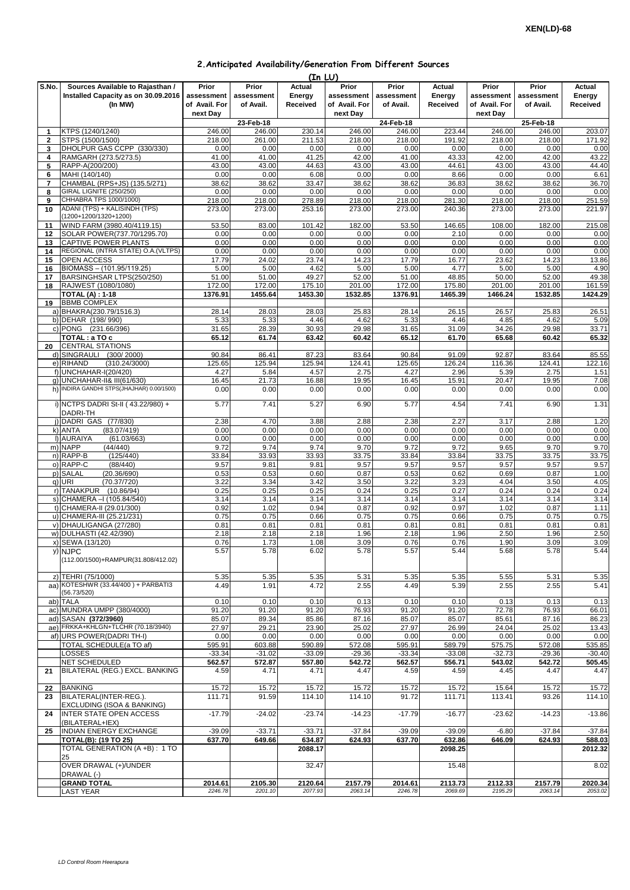|                |                                           |               |            | (In LU)  |               |            |          |               |            |          |
|----------------|-------------------------------------------|---------------|------------|----------|---------------|------------|----------|---------------|------------|----------|
| S.No.          | Sources Available to Rajasthan /          | Prior         | Prior      | Actual   | Prior         | Prior      | Actual   | Prior         | Prior      | Actual   |
|                | Installed Capacity as on 30.09.2016       | assessment    | assessment | Energy   | assessment    | assessment | Energy   | assessment    | assessment | Energy   |
|                | (In MW)                                   | of Avail. For | of Avail.  | Received | of Avail. For | of Avail.  | Received | of Avail. For | of Avail.  | Received |
|                |                                           | next Day      |            |          | next Day      |            |          | next Day      |            |          |
|                |                                           |               |            |          |               |            |          |               |            |          |
|                |                                           |               | 23-Feb-18  |          |               | 24-Feb-18  |          |               | 25-Feb-18  |          |
| $\mathbf{1}$   | KTPS (1240/1240)                          | 246.00        | 246.00     | 230.14   | 246.00        | 246.00     | 223.44   | 246.00        | 246.00     | 203.07   |
| $\overline{2}$ | STPS (1500/1500)                          | 218.00        | 261.00     | 211.53   | 218.00        | 218.00     | 191.92   | 218.00        | 218.00     | 171.92   |
| 3              | DHOLPUR GAS CCPP (330/330)                | 0.00          | 0.00       | 0.00     | 0.00          | 0.00       | 0.00     | 0.00          | 0.00       | 0.00     |
| 4              | RAMGARH (273.5/273.5)                     | 41.00         | 41.00      | 41.25    | 42.00         | 41.00      | 43.33    | 42.00         | 42.00      | 43.22    |
| 5              | RAPP-A(200/200)                           | 43.00         | 43.00      | 44.63    | 43.00         | 43.00      | 44.61    | 43.00         | 43.00      | 44.40    |
| 6              | MAHI (140/140)                            | 0.00          | 0.00       | 6.08     | 0.00          | 0.00       | 8.66     | 0.00          | 0.00       | 6.61     |
| $\overline{7}$ | CHAMBAL (RPS+JS) (135.5/271)              | 38.62         | 38.62      | 33.47    | 38.62         | 38.62      | 36.83    | 38.62         | 38.62      | 36.70    |
| 8              | GIRAL LIGNITE (250/250)                   | 0.00          | 0.00       | 0.00     | 0.00          | 0.00       | 0.00     | 0.00          | 0.00       | 0.00     |
|                |                                           |               |            |          |               |            |          |               |            |          |
| 9              | CHHABRA TPS 1000/1000)                    | 218.00        | 218.00     | 278.89   | 218.00        | 218.00     | 281.30   | 218.00        | 218.00     | 251.59   |
| 10             | ADANI (TPS) + KALISINDH (TPS)             | 273.00        | 273.00     | 253.16   | 273.00        | 273.00     | 240.36   | 273.00        | 273.00     | 221.97   |
|                | (1200+1200/1320+1200)                     |               |            |          |               |            |          |               |            |          |
| 11             | WIND FARM (3980.40/4119.15)               | 53.50         | 83.00      | 101.42   | 182.00        | 53.50      | 146.65   | 108.00        | 182.00     | 215.08   |
| 12             | SOLAR POWER(737.70/1295.70)               | 0.00          | 0.00       | 0.00     | 0.00          | 0.00       | 2.10     | 0.00          | 0.00       | 0.00     |
| 13             | <b>CAPTIVE POWER PLANTS</b>               | 0.00          | 0.00       | 0.00     | 0.00          | 0.00       | 0.00     | 0.00          | 0.00       | 0.00     |
| 14             | REGIONAL (INTRA STATE) O.A. (VLTPS)       | 0.00          | 0.00       | 0.00     | 0.00          | 0.00       | 0.00     | 0.00          | 0.00       | 0.00     |
|                |                                           |               |            |          |               | 17.79      | 16.77    |               |            |          |
| 15             | OPEN ACCESS                               | 17.79         | 24.02      | 23.74    | 14.23         |            |          | 23.62         | 14.23      | 13.86    |
| 16             | BIOMASS - (101.95/119.25)                 | 5.00          | 5.00       | 4.62     | 5.00          | 5.00       | 4.77     | 5.00          | 5.00       | 4.90     |
| 17             | BARSINGHSAR LTPS(250/250)                 | 51.00         | 51.00      | 49.27    | 52.00         | 51.00      | 48.85    | 50.00         | 52.00      | 49.38    |
| 18             | RAJWEST (1080/1080)                       | 172.00        | 172.00     | 175.10   | 201.00        | 172.00     | 175.80   | 201.00        | 201.00     | 161.59   |
|                | <b>TOTAL (A): 1-18</b>                    | 1376.91       | 1455.64    | 1453.30  | 1532.85       | 1376.91    | 1465.39  | 1466.24       | 1532.85    | 1424.29  |
| 19             | <b>BBMB COMPLEX</b>                       |               |            |          |               |            |          |               |            |          |
|                | a) BHAKRA(230.79/1516.3)                  | 28.14         | 28.03      | 28.03    | 25.83         | 28.14      | 26.15    | 26.57         | 25.83      | 26.51    |
|                | b) DEHAR (198/990)                        | 5.33          | 5.33       | 4.46     | 4.62          | 5.33       | 4.46     | 4.85          | 4.62       | 5.09     |
|                |                                           |               |            |          |               |            |          |               |            |          |
|                | c) PONG (231.66/396)                      | 31.65         | 28.39      | 30.93    | 29.98         | 31.65      | 31.09    | 34.26         | 29.98      | 33.71    |
|                | TOTAL: a TO c                             | 65.12         | 61.74      | 63.42    | 60.42         | 65.12      | 61.70    | 65.68         | 60.42      | 65.32    |
| 20             | <b>CENTRAL STATIONS</b>                   |               |            |          |               |            |          |               |            |          |
|                | (300/2000)<br>d) SINGRAULI                | 90.84         | 86.41      | 87.23    | 83.64         | 90.84      | 91.09    | 92.87         | 83.64      | 85.55    |
|                | e) RIHAND<br>(310.24/3000)                | 125.65        | 125.94     | 125.94   | 124.41        | 125.65     | 126.24   | 116.36        | 124.41     | 122.16   |
|                | f) UNCHAHAR-I(20/420)                     | 4.27          | 5.84       | 4.57     | 2.75          | 4.27       | 2.96     | 5.39          | 2.75       | 1.51     |
|                | g) UNCHAHAR-II& III(61/630)               | 16.45         | 21.73      | 16.88    | 19.95         | 16.45      | 15.91    | 20.47         | 19.95      | 7.08     |
|                | h) INDIRA GANDHI STPS(JHAJHAR) 0.00/1500) |               |            |          |               |            |          |               |            |          |
|                |                                           | 0.00          | 0.00       | 0.00     | 0.00          | 0.00       | 0.00     | 0.00          | 0.00       | 0.00     |
|                |                                           |               |            |          |               |            |          |               |            |          |
|                | i) NCTPS DADRI St-II (43.22/980) +        | 5.77          | 7.41       | 5.27     | 6.90          | 5.77       | 4.54     | 7.41          | 6.90       | 1.31     |
|                | DADRI-TH                                  |               |            |          |               |            |          |               |            |          |
|                | j) DADRI GAS (77/830)                     | 2.38          | 4.70       | 3.88     | 2.88          | 2.38       | 2.27     | 3.17          | 2.88       | 1.20     |
|                | k) ANTA<br>(83.07/419)                    | 0.00          | 0.00       | 0.00     | 0.00          | 0.00       | 0.00     | 0.00          | 0.00       | 0.00     |
|                | I) AURAIYA<br>(61.03/663)                 | 0.00          | 0.00       | 0.00     | 0.00          | 0.00       | 0.00     | 0.00          | 0.00       | 0.00     |
|                | m) NAPP<br>(44/440)                       | 9.72          | 9.74       | 9.74     | 9.70          | 9.72       | 9.72     | 9.65          | 9.70       | 9.70     |
|                | n) RAPP-B<br>(125/440)                    | 33.84         | 33.93      | 33.93    | 33.75         | 33.84      | 33.84    | 33.75         | 33.75      | 33.75    |
|                | o) RAPP-C<br>(88/440)                     | 9.57          |            |          | 9.57          |            | 9.57     | 9.57          |            | 9.57     |
|                |                                           |               | 9.81       | 9.81     |               | 9.57       |          |               | 9.57       |          |
|                | p) SALAL<br>(20.36/690)                   | 0.53          | 0.53       | 0.60     | 0.87          | 0.53       | 0.62     | 0.69          | 0.87       | 1.00     |
|                | q) URI<br>(70.37/720)                     | 3.22          | 3.34       | 3.42     | 3.50          | 3.22       | 3.23     | 4.04          | 3.50       | 4.05     |
|                | r) TANAKPUR (10.86/94)                    | 0.25          | 0.25       | 0.25     | 0.24          | 0.25       | 0.27     | 0.24          | 0.24       | 0.24     |
|                | s) CHAMERA - (105.84/540)                 | 3.14          | 3.14       | 3.14     | 3.14          | 3.14       | 3.14     | 3.14          | 3.14       | 3.14     |
|                | t) CHAMERA-II (29.01/300)                 | 0.92          | 1.02       | 0.94     | 0.87          | 0.92       | 0.97     | 1.02          | 0.87       | 1.11     |
|                | u) CHAMERA-III (25.21/231)                | 0.75          | 0.75       | 0.66     | 0.75          | 0.75       | 0.66     | 0.75          | 0.75       | 0.75     |
|                | v) DHAULIGANGA (27/280)                   | 0.81          | 0.81       | 0.81     | 0.81          | 0.81       | 0.81     | 0.81          | 0.81       | 0.81     |
|                | w) DULHASTI (42.42/390)                   |               | 2.18       |          | 1.96          | 2.18       | 1.96     |               |            |          |
|                |                                           | 2.18          |            | 2.18     |               |            |          | 2.50          | 1.96       | 2.50     |
|                | x) SEWA (13/120)                          | 0.76          | 1.73       | 1.08     | 3.09          | 0.76       | 0.76     | 1.90          | 3.09       | 3.09     |
|                | y) NJPC                                   | 5.57          | 5.78       | 6.02     | 5.78          | 5.57       | 5.44     | 5.68          | 5.78       | 5.44     |
|                | (112.00/1500)+RAMPUR(31.808/412.02)       |               |            |          |               |            |          |               |            |          |
|                |                                           |               |            |          |               |            |          |               |            |          |
|                | z) TEHRI (75/1000)                        | 5.35          | 5.35       | 5.35     | 5.31          | 5.35       | 5.35     | 5.55          | 5.31       | 5.35     |
|                | aa) KOTESHWR (33.44/400) + PARBATI3       | 4.49          | 1.91       | 4.72     | 2.55          | 4.49       | 5.39     | 2.55          | 2.55       | 5.41     |
|                | (56.73/520)                               |               |            |          |               |            |          |               |            |          |
|                | ab) TALA                                  | 0.10          | 0.10       | 0.10     |               | 0.10       | 0.10     |               |            | 0.13     |
|                |                                           |               |            |          | 0.13          |            |          | 0.13          | 0.13       |          |
|                | ac) MUNDRA UMPP (380/4000)                | 91.20         | 91.20      | 91.20    | 76.93         | 91.20      | 91.20    | 72.78         | 76.93      | 66.01    |
|                | ad) SASAN (372/3960)                      | 85.07         | 89.34      | 85.86    | 87.16         | 85.07      | 85.07    | 85.61         | 87.16      | 86.23    |
|                | ae) FRKKA+KHLGN+TLCHR (70.18/3940)        | 27.97         | 29.21      | 23.90    | 25.02         | 27.97      | 26.99    | 24.04         | 25.02      | 13.43    |
|                | af) URS POWER(DADRI TH-I)                 | 0.00          | 0.00       | 0.00     | 0.00          | 0.00       | 0.00     | 0.00          | 0.00       | 0.00     |
|                | TOTAL SCHEDULE(a TO af)                   | 595.91        | 603.88     | 590.89   | 572.08        | 595.91     | 589.79   | 575.75        | 572.08     | 535.85   |
|                | LOSSES                                    | $-33.34$      | $-31.02$   | $-33.09$ | $-29.36$      | $-33.34$   | $-33.08$ | $-32.73$      | $-29.36$   | $-30.40$ |
|                | NET SCHEDULED                             | 562.57        | 572.87     | 557.80   | 542.72        | 562.57     | 556.71   | 543.02        | 542.72     | 505.45   |
|                |                                           |               |            |          |               |            |          |               |            |          |
| 21             | BILATERAL (REG.) EXCL. BANKING            | 4.59          | 4.71       | 4.71     | 4.47          | 4.59       | 4.59     | 4.45          | 4.47       | 4.47     |
|                |                                           |               |            |          |               |            |          |               |            |          |
| 22             | <b>BANKING</b>                            | 15.72         | 15.72      | 15.72    | 15.72         | 15.72      | 15.72    | 15.64         | 15.72      | 15.72    |
| 23             | BILATERAL(INTER-REG.).                    | 111.71        | 91.59      | 114.10   | 114.10        | 91.72      | 111.71   | 113.41        | 93.26      | 114.10   |
|                | EXCLUDING (ISOA & BANKING)                |               |            |          |               |            |          |               |            |          |
| 24             | <b>INTER STATE OPEN ACCESS</b>            | $-17.79$      | $-24.02$   | $-23.74$ | $-14.23$      | $-17.79$   | $-16.77$ | $-23.62$      | $-14.23$   | $-13.86$ |
|                | (BILATERAL+IEX)                           |               |            |          |               |            |          |               |            |          |
| 25             | INDIAN ENERGY EXCHANGE                    | $-39.09$      | $-33.71$   | $-33.71$ | $-37.84$      | $-39.09$   | $-39.09$ | $-6.80$       | $-37.84$   | $-37.84$ |
|                |                                           |               |            |          |               |            |          |               |            |          |
|                | <b>TOTAL(B): (19 TO 25)</b>               | 637.70        | 649.66     | 634.87   | 624.93        | 637.70     | 632.86   | 646.09        | 624.93     | 588.03   |
|                | TOTAL GENERATION (A+B): 1 TO              |               |            | 2088.17  |               |            | 2098.25  |               |            | 2012.32  |
|                | 25                                        |               |            |          |               |            |          |               |            |          |
|                | OVER DRAWAL (+)/UNDER                     |               |            | 32.47    |               |            | 15.48    |               |            | 8.02     |
|                | DRAWAL (-)                                |               |            |          |               |            |          |               |            |          |
|                | <b>GRAND TOTAL</b>                        | 2014.61       | 2105.30    | 2120.64  | 2157.79       | 2014.61    | 2113.73  | 2112.33       | 2157.79    | 2020.34  |
|                | LAST YEAR                                 | 2246.78       | 2201.10    | 2077.93  | 2063.14       | 2246.78    | 2069.69  | 2195.29       | 2063.14    | 2053.02  |
|                |                                           |               |            |          |               |            |          |               |            |          |